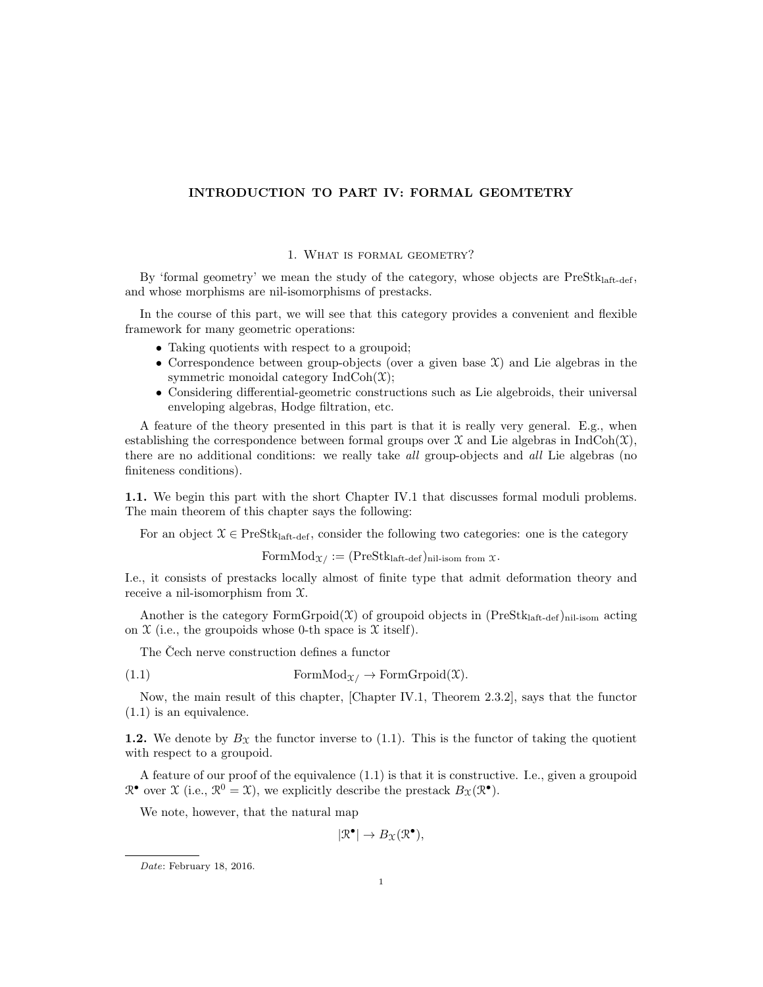## INTRODUCTION TO PART IV: FORMAL GEOMTETRY

## 1. What is formal geometry?

By 'formal geometry' we mean the study of the category, whose objects are  $PreStk<sub>laff-def</sub>$ , and whose morphisms are nil-isomorphisms of prestacks.

In the course of this part, we will see that this category provides a convenient and flexible framework for many geometric operations:

- Taking quotients with respect to a groupoid;
- Correspondence between group-objects (over a given base  $\mathfrak{X}$ ) and Lie algebras in the symmetric monoidal category  $IndCoh(\mathfrak{X});$
- Considering differential-geometric constructions such as Lie algebroids, their universal enveloping algebras, Hodge filtration, etc.

A feature of the theory presented in this part is that it is really very general. E.g., when establishing the correspondence between formal groups over  $\mathfrak X$  and Lie algebras in IndCoh( $\mathfrak X$ ), there are no additional conditions: we really take *all* group-objects and *all* Lie algebras (no finiteness conditions).

1.1. We begin this part with the short Chapter IV.1 that discusses formal moduli problems. The main theorem of this chapter says the following:

For an object  $\mathcal{X} \in \text{PreStk}_{\text{laff-def}}$ , consider the following two categories: one is the category

 $\text{FormMod}_{\mathcal{X}} := (\text{PreStk}_{\text{laft-def}})_{\text{nil-isom from }\mathcal{X}}.$ 

I.e., it consists of prestacks locally almost of finite type that admit deformation theory and receive a nil-isomorphism from X.

Another is the category  $FormGrpoid(\mathcal{X})$  of groupoid objects in  $(PreStk<sub>laff-def</sub>)<sub>nil-isom</sub> acting$ on  $\mathfrak X$  (i.e., the groupoids whose 0-th space is  $\mathfrak X$  itself).

The Cech nerve construction defines a functor

(1.1) Form $Mod_{\mathfrak{X}} \to FormGroup(\mathfrak{X})$ .

Now, the main result of this chapter, [Chapter IV.1, Theorem 2.3.2], says that the functor (1.1) is an equivalence.

1.2. We denote by  $B_{\mathfrak{X}}$  the functor inverse to (1.1). This is the functor of taking the quotient with respect to a groupoid.

A feature of our proof of the equivalence (1.1) is that it is constructive. I.e., given a groupoid  $\mathbb{R}^{\bullet}$  over  $\mathfrak{X}$  (i.e.,  $\mathbb{R}^0 = \mathfrak{X}$ ), we explicitly describe the prestack  $B_{\mathfrak{X}}(\mathbb{R}^{\bullet})$ .

We note, however, that the natural map

 $|\mathcal{R}^{\bullet}| \to B_{\mathfrak{X}}(\mathcal{R}^{\bullet}),$ 

Date: February 18, 2016.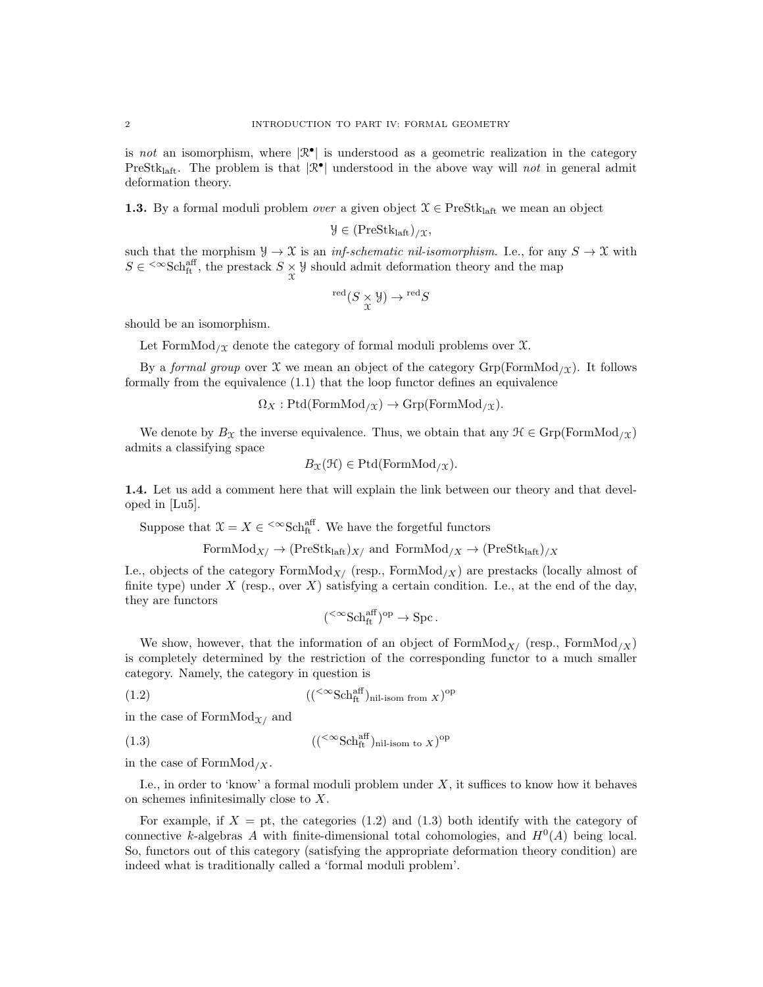is not an isomorphism, where  $|\mathcal{R}^{\bullet}|$  is understood as a geometric realization in the category PreStk<sub>laft</sub>. The problem is that  $|\mathcal{R}^{\bullet}|$  understood in the above way will *not* in general admit deformation theory.

**1.3.** By a formal moduli problem *over* a given object  $\mathcal{X} \in \text{PreStk}_{\text{laff}}$  we mean an object

$$
\mathcal{Y} \in (PreStk_{laff})_{/\mathfrak{X}},
$$

such that the morphism  $\mathcal{Y} \to \mathcal{X}$  is an *inf-schematic nil-isomorphism*. I.e., for any  $S \to \mathcal{X}$  with  $S \in \text{~}^\infty\text{Sch}^{\text{aff}}_{\text{ft}}$ , the prestack  $S \underset{\chi}{\times} \mathcal{Y}$  should admit deformation theory and the map

$$
{}^{\rm red}(S\underset{\chi}{\times} \mathcal{Y})\to {}^{\rm red}S
$$

should be an isomorphism.

Let FormMod<sub>/X</sub> denote the category of formal moduli problems over  $\mathfrak{X}$ .

By a formal group over X we mean an object of the category  $Grp(FormMod<sub>X</sub>)$ . It follows formally from the equivalence (1.1) that the loop functor defines an equivalence

$$
\Omega_X : \text{Ptd}(\text{FormMod}_{/\mathfrak{X}}) \to \text{Grp}(\text{FormMod}_{/\mathfrak{X}}).
$$

We denote by  $B_{\mathfrak{X}}$  the inverse equivalence. Thus, we obtain that any  $\mathfrak{K} \in \mathrm{Grp}(\mathrm{FormMod}_{\ell \mathfrak{X}})$ admits a classifying space

$$
B_{\mathfrak{X}}(\mathfrak{H}) \in \mathrm{Ptd}(\mathrm{FormMod}_{/\mathfrak{X}}).
$$

1.4. Let us add a comment here that will explain the link between our theory and that developed in [Lu5].

Suppose that  $\mathfrak{X} = X \in \left. \right. \right. \left. \right. \left. \right. \left. \right. \left. \right. \left. \right. \left. \left. \right. \left. \right. \left. \right. \left. \left. \right. \left. \right. \left. \right. \left. \right. \left. \left. \right. \right. \left. \left. \right. \right. \left. \left. \right. \right. \left. \left. \right. \left. \left. \right. \right. \left. \left. \right. \right. \left. \left. \right. \right. \left. \left. \right. \right. \left. \left. \right. \right. \left. \$ 

FormMod<sub>X/</sub> 
$$
\rightarrow
$$
 (PreStk<sub>laff</sub>)<sub>X/</sub> and FormMod<sub>/X</sub>  $\rightarrow$  (PreStk<sub>laff</sub>)<sub>/X</sub>

I.e., objects of the category FormMod<sub>X</sub>/ (resp., FormMod<sub>/X</sub>) are prestacks (locally almost of finite type) under  $X$  (resp., over  $X$ ) satisfying a certain condition. I.e., at the end of the day, they are functors

$$
({}^{<\infty}{\rm Sch}^{{\rm aff}}_{\rm ft})^{\rm op} \to {\rm Spc} \, .
$$

We show, however, that the information of an object of FormMod<sub>X</sub>/ (resp., FormMod<sub>/X</sub>) is completely determined by the restriction of the corresponding functor to a much smaller category. Namely, the category in question is

$$
(({\infty}Schftaff)nil-isom from X)op
$$

in the case of FormMod $\chi$  and

$$
(({\infty}Schftaff)nil-isom to X)op
$$

in the case of FormMod<sub>/X</sub>.

I.e., in order to 'know' a formal moduli problem under  $X$ , it suffices to know how it behaves on schemes infinitesimally close to X.

For example, if  $X = pt$ , the categories (1.2) and (1.3) both identify with the category of connective k-algebras A with finite-dimensional total cohomologies, and  $H^0(A)$  being local. So, functors out of this category (satisfying the appropriate deformation theory condition) are indeed what is traditionally called a 'formal moduli problem'.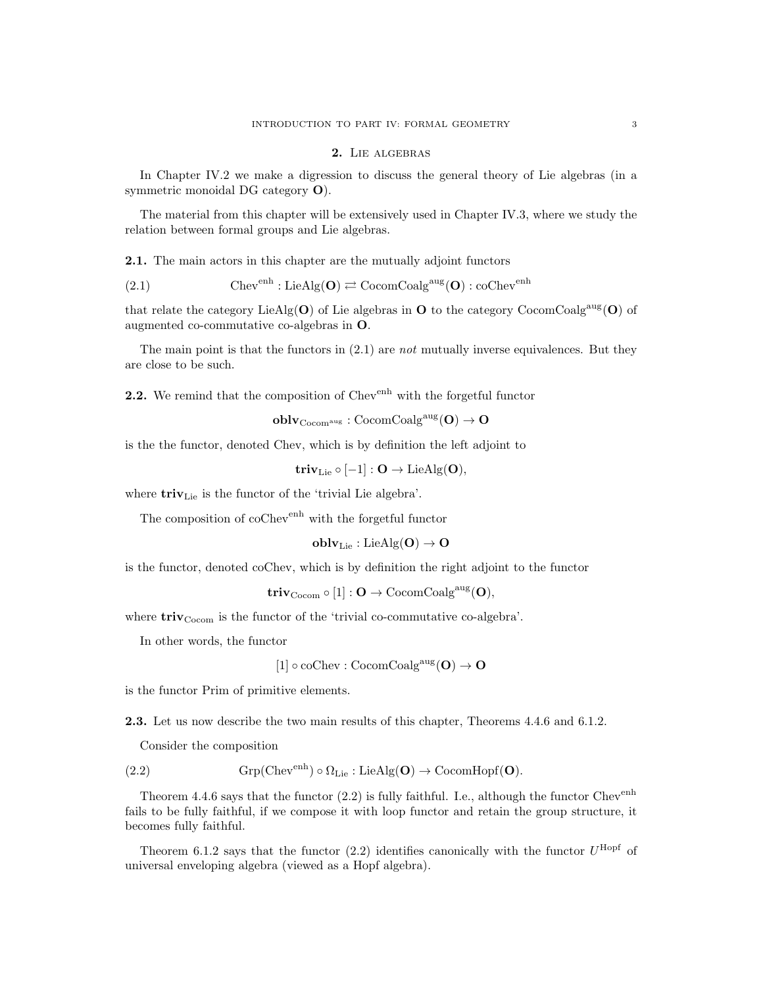#### 2. Lie algebras

In Chapter IV.2 we make a digression to discuss the general theory of Lie algebras (in a symmetric monoidal DG category O).

The material from this chapter will be extensively used in Chapter IV.3, where we study the relation between formal groups and Lie algebras.

2.1. The main actors in this chapter are the mutually adjoint functors

(2.1) 
$$
Chev^{enh}: LieAlg(O) \rightleftarrows CocomCoalg^{aug}(O): coChev^{enh}
$$

that relate the category LieAlg( $O$ ) of Lie algebras in  $O$  to the category CocomCoalg<sup>aug</sup>( $O$ ) of augmented co-commutative co-algebras in O.

The main point is that the functors in  $(2.1)$  are not mutually inverse equivalences. But they are close to be such.

2.2. We remind that the composition of Chev<sup>enh</sup> with the forgetful functor

 $oblv_{\mathrm{Cocom^{aug}}} : \mathrm{CocomCoalg}^{\mathrm{aug}}(\mathbf{O}) \to \mathbf{O}$ 

is the the functor, denoted Chev, which is by definition the left adjoint to

$$
\mathbf{triv}_{\mathrm{Lie}} \circ [-1] : \mathbf{O} \to \mathrm{LieAlg}(\mathbf{O}),
$$

where  $\mathbf{triv}_{\mathrm{Lie}}$  is the functor of the 'trivial Lie algebra'.

The composition of coChev<sup>enh</sup> with the forgetful functor

$$
\mathbf{oblv}_\mathrm{Lie}: \mathrm{LieAlg}(\mathbf{O}) \to \mathbf{O}
$$

is the functor, denoted coChev, which is by definition the right adjoint to the functor

 $triv_{\rm Cocom} \circ [1]: O \to \rm CocomCoalg^{aug}(O),$ 

where  $\mathbf{triv}_\mathrm{Cocom}$  is the functor of the 'trivial co-commutative co-algebra'.

In other words, the functor

$$
[1] \circ \mathrm{coChev} : \mathrm{CocomCoalg}^{\mathrm{aug}}(\mathbf{O}) \to \mathbf{O}
$$

is the functor Prim of primitive elements.

2.3. Let us now describe the two main results of this chapter, Theorems 4.4.6 and 6.1.2.

Consider the composition

(2.2) 
$$
Grp(Chev^{enh}) \circ \Omega_{Lie} : LieAlg(\mathbf{O}) \to \text{CocomHopf}(\mathbf{O}).
$$

Theorem 4.4.6 says that the functor  $(2.2)$  is fully faithful. I.e., although the functor Chev<sup>enh</sup> fails to be fully faithful, if we compose it with loop functor and retain the group structure, it becomes fully faithful.

Theorem 6.1.2 says that the functor  $(2.2)$  identifies canonically with the functor  $U^{\text{Hopf}}$  of universal enveloping algebra (viewed as a Hopf algebra).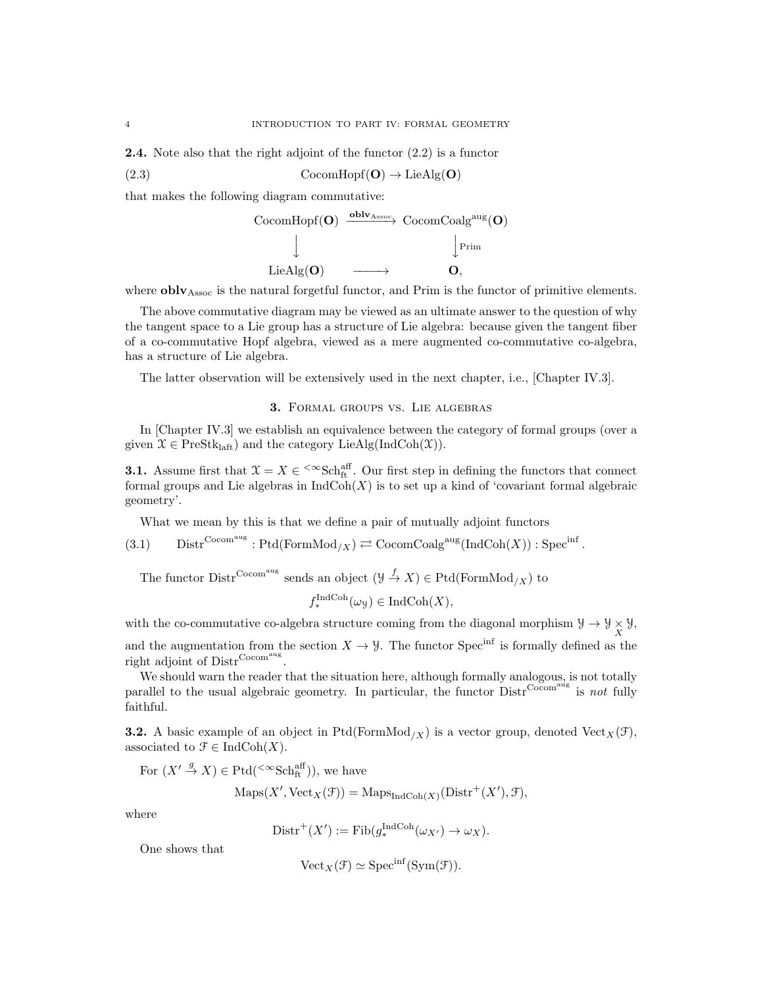2.4. Note also that the right adjoint of the functor (2.2) is a functor

(2.3) CocomHopf( $O$ )  $\rightarrow$  LieAlg( $O$ )

that makes the following diagram commutative:

$$
\begin{array}{ccc}\n\text{CocomHopf}(\mathbf{O}) & \xrightarrow{\mathbf{oblv}_{\mathrm{Assoc}}} & \text{CocomCoalg}^{\text{aug}}(\mathbf{O}) \\
\downarrow & & \downarrow \\
\text{LieAlg}(\mathbf{O}) & \xrightarrow{\quad \ \ \, \mathbf{O}},\n\end{array}
$$

where  $oblv<sub>Assoc</sub>$  is the natural forgetful functor, and Prim is the functor of primitive elements.

The above commutative diagram may be viewed as an ultimate answer to the question of why the tangent space to a Lie group has a structure of Lie algebra: because given the tangent fiber of a co-commutative Hopf algebra, viewed as a mere augmented co-commutative co-algebra, has a structure of Lie algebra.

The latter observation will be extensively used in the next chapter, i.e., [Chapter IV.3].

### 3. Formal groups vs. Lie algebras

In [Chapter IV.3] we establish an equivalence between the category of formal groups (over a given  $\mathcal{X} \in \text{PreStk}_{\text{laft}}$  and the category LieAlg(IndCoh(X)).

**3.1.** Assume first that  $\mathfrak{X} = X \in \text{Sch}_{\text{ft}}^{\text{aff}}$ . Our first step in defining the functors that connect formal groups and Lie algebras in  $\text{IndCoh}(X)$  is to set up a kind of 'covariant formal algebraic geometry'.

What we mean by this is that we define a pair of mutually adjoint functors

 $(3.1)$  Distr<sup>Cocomaug</sup>: Ptd(FormMod<sub>/X</sub>)  $\rightleftarrows$  CocomCoalg<sup>aug</sup>(IndCoh(X)): Spec<sup>inf</sup>.

The functor  $\text{Distr}^{\text{Cocom}^{\text{aug}}}$  sends an object  $(\mathcal{Y} \xrightarrow{f} X) \in \text{Ptd}(\text{FormMod}_{X})$  to

 $f_*^{\text{IndCoh}}(\omega_\mathcal{Y}) \in \text{IndCoh}(X),$ 

with the co-commutative co-algebra structure coming from the diagonal morphism  $\mathcal{Y} \to \mathcal{Y} \times \mathcal{Y}$ ,  $\mathcal{X}$ 

and the augmentation from the section  $X \to Y$ . The functor Spec<sup>inf</sup> is formally defined as the right adjoint of Distr<sup>Cocom<sup>aug</sup>.</sup>

We should warn the reader that the situation here, although formally analogous, is not totally parallel to the usual algebraic geometry. In particular, the functor  $\text{Distr}^{\text{Cocom}}$  is not fully faithful.

**3.2.** A basic example of an object in Ptd(FormMod<sub>/X</sub>) is a vector group, denoted Vect<sub>X</sub>( $\mathcal{F}$ ), associated to  $\mathcal{F} \in \text{IndCoh}(X)$ .

For 
$$
(X' \stackrel{g}{\to} X) \in \text{Ptd}(\leq \infty \text{Sch}^{\text{aff}}_{\text{ft}})
$$
), we have

$$
Maps(X', Vect_X(\mathcal{F})) = Maps_{IndCoh(X)}(Distr^+(X'), \mathcal{F}),
$$

where

$$
Dist^{+}(X') := Fib(g_{*}^{IndCoh}(\omega_{X'}) \to \omega_{X}).
$$

One shows that

$$
\text{Vect}_X(\mathcal{F}) \simeq \text{Spec}^{\text{inf}}(\text{Sym}(\mathcal{F})).
$$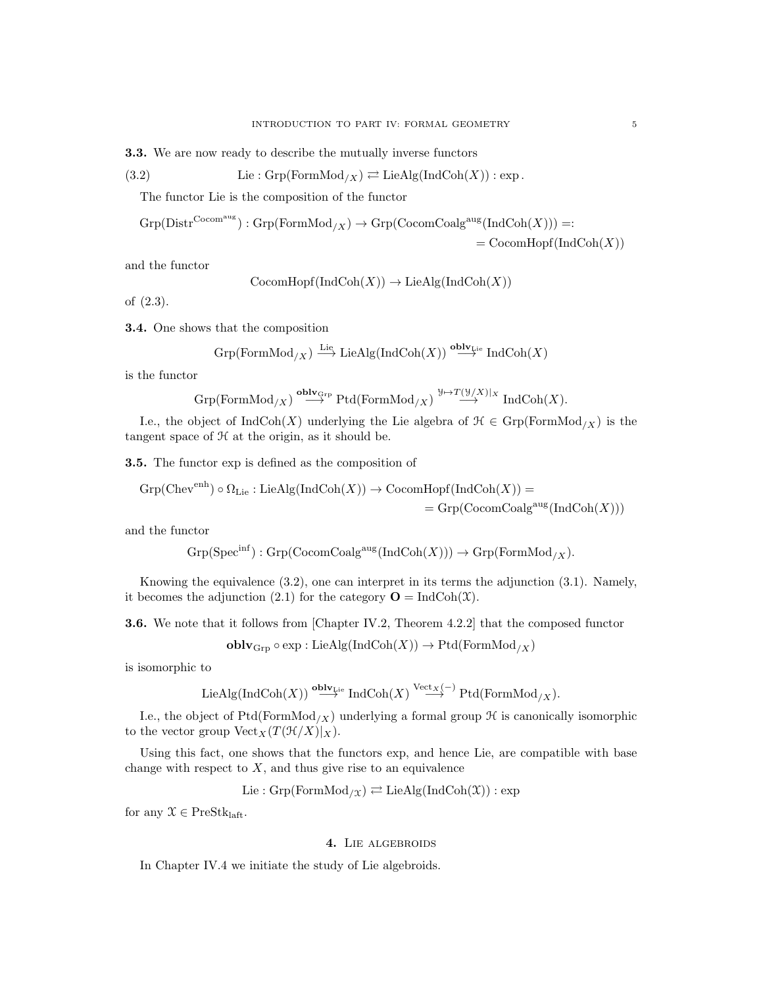3.3. We are now ready to describe the mutually inverse functors

(3.2) Lie: 
$$
\text{Grp}(\text{FormMod}_{/X}) \rightleftarrows \text{LieAlg}(\text{IndCoh}(X)) : \text{exp}
$$
.

The functor Lie is the composition of the functor

$$
Grp(Distr^{Cocomaug}) : Grp(FormMod_{/X}) \to Grp(CocomCoalgaug(IndCoh(X))) =: = CocomHopf(IndCoh(X))
$$

and the functor

$$
CocomHopf(IndCoh(X)) \to LieAlg(IndCoh(X))
$$

of (2.3).

3.4. One shows that the composition

$$
\operatorname{Grp}( \operatorname{FormMod}_{/X}) \xrightarrow{\operatorname{Lie}} \operatorname{LieAlg}(\operatorname{IndCoh}(X)) \xrightarrow{\operatorname{oblv}_{\operatorname{Lie}}} \operatorname{IndCoh}(X)
$$

is the functor

$$
\operatorname{Grp}(\operatorname{FormMod}_{/X}) \stackrel{\operatorname{oblv}_{\operatorname{Grp}}}{\longrightarrow} \operatorname{Ptd}(\operatorname{FormMod}_{/X}) \stackrel{\mathcal{Y} \mapsto T(\mathcal{Y}/X)|_X}{\longrightarrow} \operatorname{IndCoh}(X).
$$

I.e., the object of  $\text{IndCoh}(X)$  underlying the Lie algebra of  $\mathcal{H} \in \text{Grp}(\text{FormMod}_X)$  is the tangent space of  $H$  at the origin, as it should be.

3.5. The functor exp is defined as the composition of

$$
Grp(Chevenh) \circ \Omega_{Lie}: LieAlg(IndCoh(X)) \to \text{CocomHopf}(IndCoh(X)) =
$$
  
= 
$$
Grp(CocomCoalgaug(IndCoh(X)))
$$

and the functor

$$
\mathrm{Grp}(\mathrm{Spec}^{\mathrm{inf}}): \mathrm{Grp}(\mathrm{CocomCoalg}^{\mathrm{aug}}(\mathrm{IndCoh}(X))) \to \mathrm{Grp}(\mathrm{FormMod}_{/X}).
$$

Knowing the equivalence (3.2), one can interpret in its terms the adjunction (3.1). Namely, it becomes the adjunction (2.1) for the category  $\mathbf{O} = \text{IndCoh}(\mathfrak{X})$ .

3.6. We note that it follows from [Chapter IV.2, Theorem 4.2.2] that the composed functor

$$
\mathbf{oblv}_{\mathrm{Grp}} \circ \exp : \mathrm{LieAlg}(\mathrm{IndCoh}(X)) \to \mathrm{Ptd}(\mathrm{FormMod}_{/X})
$$

is isomorphic to

LieAlg(IndCoh(X)) 
$$
\stackrel{\text{oblv}_{Lie}}{\longrightarrow}
$$
 IndCoh(X)  $\stackrel{\text{Vect}_X(-)}{\longrightarrow}$  Ptd(FormMod<sub>/X</sub>).

I.e., the object of Ptd(FormMod<sub>/X</sub>) underlying a formal group  $\mathcal H$  is canonically isomorphic to the vector group  $Vect_X(T(\mathcal{H}/X)|_X)$ .

Using this fact, one shows that the functors exp, and hence Lie, are compatible with base change with respect to  $X$ , and thus give rise to an equivalence

$$
Lie: Grp(FormMod_{/\mathfrak{X}}) \rightleftarrows LieAlg(IndCoh(\mathfrak{X})) : exp
$$

for any  $\mathcal{X} \in \text{PreStk}_{\text{left}}$ .

# 4. LIE ALGEBROIDS

In Chapter IV.4 we initiate the study of Lie algebroids.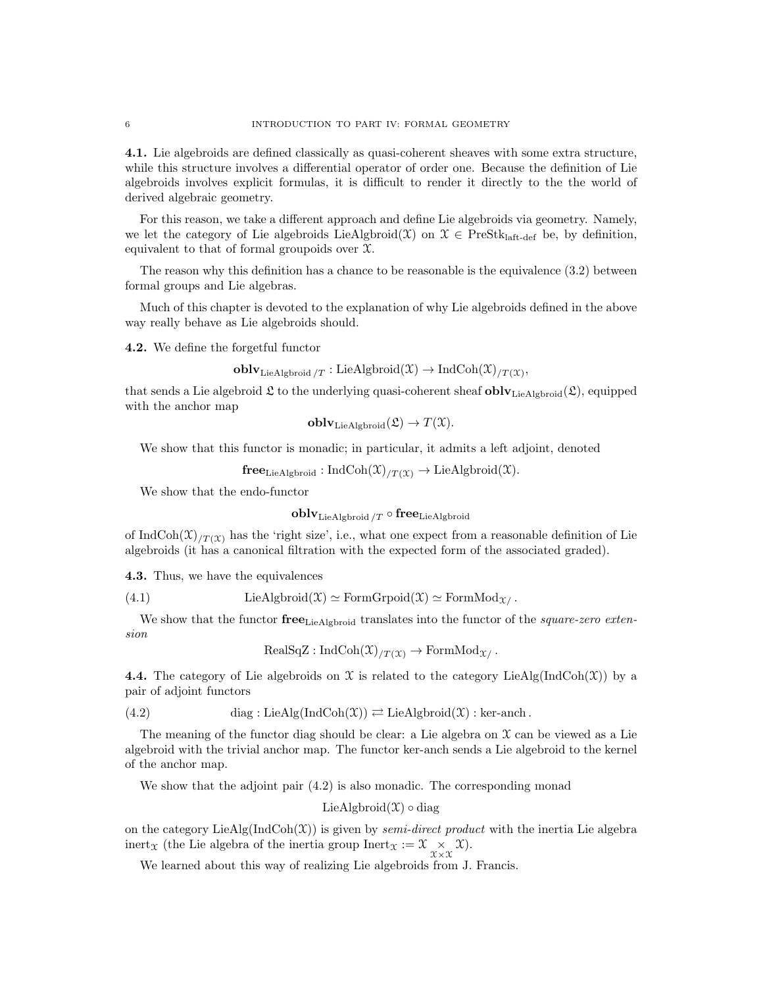4.1. Lie algebroids are defined classically as quasi-coherent sheaves with some extra structure, while this structure involves a differential operator of order one. Because the definition of Lie algebroids involves explicit formulas, it is difficult to render it directly to the the world of derived algebraic geometry.

For this reason, we take a different approach and define Lie algebroids via geometry. Namely, we let the category of Lie algebroids LieAlgbroid(X) on  $\mathcal{X} \in \text{PreStk}_{\text{laff-def}}$  be, by definition, equivalent to that of formal groupoids over  $\mathfrak{X}$ .

The reason why this definition has a chance to be reasonable is the equivalence  $(3.2)$  between formal groups and Lie algebras.

Much of this chapter is devoted to the explanation of why Lie algebroids defined in the above way really behave as Lie algebroids should.

4.2. We define the forgetful functor

```
\textbf{oblv}_{\text{LieAlgbroid}/T}:\text{LieAlgbroid}(\mathfrak{X})\to \text{IndCoh}(\mathfrak{X})_{/T}(\mathfrak{X}),
```
that sends a Lie algebroid  $\mathfrak L$  to the underlying quasi-coherent sheaf  $oblv_{\text{LieAlgbroid}}(\mathfrak L)$ , equipped with the anchor map

$$
\mathbf{oblv}_{\mathrm{LieAlgbroid}}(\mathfrak{L}) \to T(\mathfrak{X}).
$$

We show that this functor is monadic; in particular, it admits a left adjoint, denoted

 ${\bf free}_{\rm LieAlgbroid}: \text{IndCoh}(\mathfrak{X})_{/T(\mathfrak{X})} \to \text{LieAlgbroid}(\mathfrak{X}).$ 

We show that the endo-functor

 $oblv_{\text{LieAlgbroid}}$  /T  $\circ$  free<sub>LieAlgbroid</sub>

of IndCoh(X)<sub>/T(X)</sub> has the 'right size', i.e., what one expect from a reasonable definition of Lie algebroids (it has a canonical filtration with the expected form of the associated graded).

4.3. Thus, we have the equivalences

(4.1) LieAlgbroid(
$$
\mathfrak{X}
$$
)  $\simeq$  FormGrpoid( $\mathfrak{X}$ )  $\simeq$  FormMod $\mathfrak{X}$ .

We show that the functor  $\mathbf{free}_{\text{LieAlcbroid}}$  translates into the functor of the *square-zero exten*sion

 $\text{RealSqZ}: \text{IndCoh}(\mathfrak{X})_{T(\mathfrak{X})} \to \text{FormMod}_{\mathfrak{X}}$ .

4.4. The category of Lie algebroids on X is related to the category LieAlg(IndCoh(X)) by a pair of adjoint functors

(4.2) diag : LieAlg(IndCoh
$$
(\mathfrak{X}))
$$
  $\rightleftarrows$  LieAlgbroid $(\mathfrak{X})$  : ker-anch.

The meaning of the functor diag should be clear: a Lie algebra on  $\mathcal X$  can be viewed as a Lie algebroid with the trivial anchor map. The functor ker-anch sends a Lie algebroid to the kernel of the anchor map.

We show that the adjoint pair  $(4.2)$  is also monadic. The corresponding monad

LieAlgbroid $(\mathfrak{X}) \circ diag$ 

on the category LieAlg(IndCoh(X)) is given by *semi-direct product* with the inertia Lie algebra inert<sub>x</sub> (the Lie algebra of the inertia group Inert<sub>x</sub> :=  $\mathfrak{X} \underset{\mathfrak{X} \times \mathfrak{X}}{\times} \mathfrak{X}$ ).

We learned about this way of realizing Lie algebroids from J. Francis.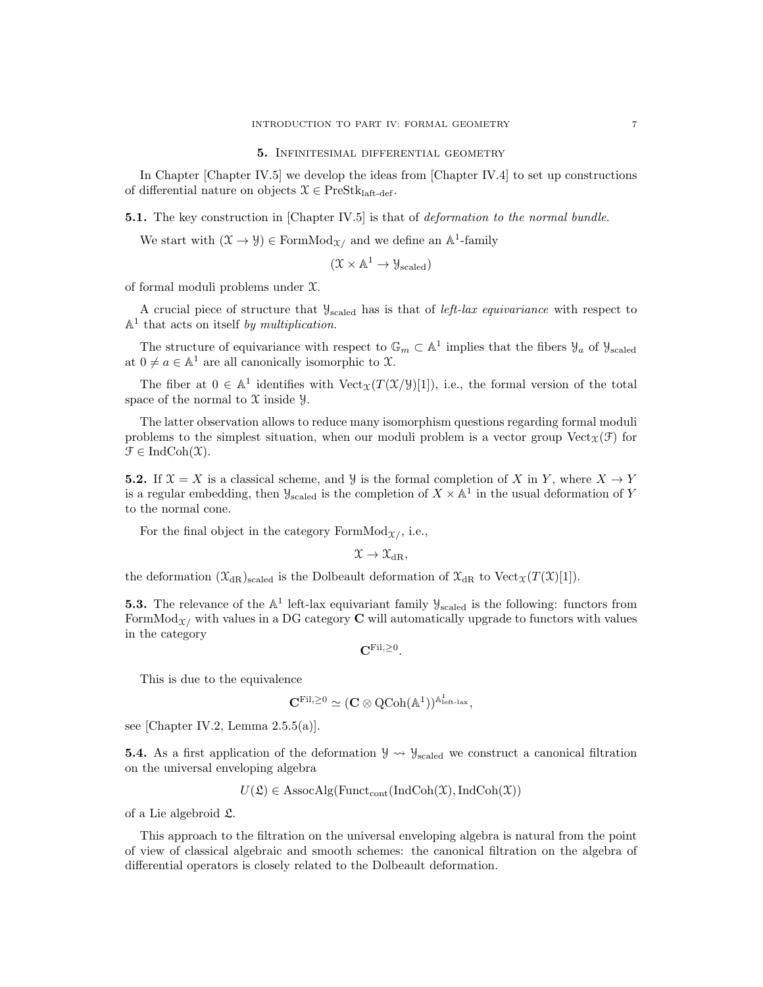#### 5. Infinitesimal differential geometry

In Chapter [Chapter IV.5] we develop the ideas from [Chapter IV.4] to set up constructions of differential nature on objects  $\mathcal{X} \in \text{PreStk}_{\text{laft-def}}$ .

**5.1.** The key construction in [Chapter IV.5] is that of *deformation to the normal bundle.* 

We start with  $(\mathfrak{X} \to \mathfrak{Y}) \in \mathrm{FormMod}_{\mathfrak{X}}$  and we define an  $\mathbb{A}^1$ -family

$$
(\mathfrak{X} \times \mathbb{A}^1 \to \mathcal{Y}_{\mathrm{scaled}})
$$

of formal moduli problems under X.

A crucial piece of structure that  $\mathcal{Y}_{scaled}$  has is that of *left-lax equivariance* with respect to  $\mathbb{A}^1$  that acts on itself by multiplication.

The structure of equivariance with respect to  $\mathbb{G}_m \subset \mathbb{A}^1$  implies that the fibers  $\mathcal{Y}_a$  of  $\mathcal{Y}_{\text{scaled}}$ at  $0 \neq a \in \mathbb{A}^1$  are all canonically isomorphic to X.

The fiber at  $0 \in \mathbb{A}^1$  identifies with  $Vect_{\mathfrak{X}}(T(\mathfrak{X}/\mathcal{Y})[1])$ , i.e., the formal version of the total space of the normal to  $\mathfrak X$  inside  $\mathfrak Y$ .

The latter observation allows to reduce many isomorphism questions regarding formal moduli problems to the simplest situation, when our moduli problem is a vector group Vect  $_{\Upsilon}(\mathcal{F})$  for  $\mathfrak{F} \in \mathrm{IndCoh}(\mathfrak{X}).$ 

**5.2.** If  $X = X$  is a classical scheme, and Y is the formal completion of X in Y, where  $X \to Y$ is a regular embedding, then  $\mathcal{Y}_{\text{scaled}}$  is the completion of  $X \times \mathbb{A}^1$  in the usual deformation of Y to the normal cone.

For the final object in the category FormMod $\chi$ , i.e.,

$$
\mathfrak{X} \to \mathfrak{X}_{\mathrm{dR}},
$$

the deformation  $(\mathfrak{X}_{dR})_{\text{scaled}}$  is the Dolbeault deformation of  $\mathfrak{X}_{dR}$  to  $\text{Vect}_{\mathfrak{X}}(T(\mathfrak{X})[1])$ .

**5.3.** The relevance of the  $\mathbb{A}^1$  left-lax equivariant family  $\mathcal{Y}_{\text{scaled}}$  is the following: functors from FormMod<sub> $x/$ </sub> with values in a DG category **C** will automatically upgrade to functors with values in the category

 $\mathbf{C}^{\mathrm{Fil},\geq 0}.$ 

This is due to the equivalence

$$
\mathbf{C}^{\mathrm{Fil},\geq 0}\simeq (\mathbf{C}\otimes \mathrm{QCoh}(\mathbb{A}^1))^{\mathbb{A}^1_{\mathrm{left\ -\mathbf{i}}\mathbf{a}\mathbf{x}}},
$$

see [Chapter IV.2, Lemma 2.5.5(a)].

**5.4.** As a first application of the deformation  $\mathcal{Y} \rightsquigarrow \mathcal{Y}_{scaled}$  we construct a canonical filtration on the universal enveloping algebra

$$
U(\mathfrak{L}) \in \mathrm{AssocAlg}(\mathrm{Funct}_{\mathrm{cont}}(\mathrm{IndCoh}(\mathfrak{X}), \mathrm{IndCoh}(\mathfrak{X}))
$$

of a Lie algebroid L.

This approach to the filtration on the universal enveloping algebra is natural from the point of view of classical algebraic and smooth schemes: the canonical filtration on the algebra of differential operators is closely related to the Dolbeault deformation.